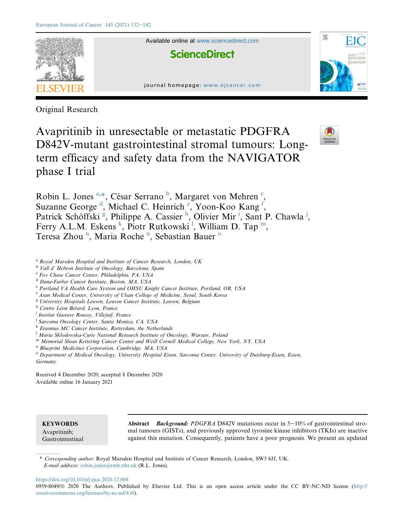

Original Research

Avapritinib in unresectable or metastatic PDGFRA D842V-mutant gastrointestinal stromal tumours: Longterm efficacy and safety data from the NAVIGATOR phase I trial



Robin L. Jones <sup>[a,](#page-0-0)\*</sup>, César Serrano<sup>[b](#page-0-2)</sup>, Margaret von Mehren<sup>[c](#page-0-3)</sup>, Suzanne George<sup>[d](#page-0-4)</sup>, Micha[e](#page-0-5)l C. Heinrich<sup>e</sup>, Yoon-Koo Kang<sup>[f](#page-0-6)</sup>, Patrick Schöffski<sup>[g](#page-0-7)</sup>, P[h](#page-0-8)[i](#page-0-9)lippe A. Cassier<sup>h</sup>, Olivier Mir<sup>i</sup>, Sant P. Chawla<sup>[j](#page-0-10)</sup>, Ferry A.L.M. Es[k](#page-0-11)ens<sup>k</sup>, Piotr Rutkowski<sup>1</sup>, Wi[l](#page-0-12)liam D. Tap<sup>m</sup>, Teresa Zhou<sup>[n](#page-0-14)</sup>, Maria R[o](#page-0-15)che<sup>n</sup>, Sebastian Bauer<sup>o</sup>

- <span id="page-0-0"></span><sup>a</sup> Royal Marsden Hospital and Institute of Cancer Research, London, UK
- <span id="page-0-2"></span><sup>b</sup> Vall d' Hebron Institute of Oncology, Barcelona, Spain
- <span id="page-0-3"></span><sup>c</sup> Fox Chase Cancer Center, Philadelphia, PA, USA
- <span id="page-0-4"></span><sup>d</sup> Dana-Farber Cancer Institute, Boston, MA, USA
- <span id="page-0-5"></span>e Portland VA Health Care System and OHSU Knight Cancer Institute, Portland, OR, USA
- <span id="page-0-6"></span><sup>f</sup> Asan Medical Center, University of Ulsan College of Medicine, Seoul, South Korea
- <span id="page-0-7"></span><sup>g</sup> University Hospitals Leuven, Leuven Cancer Institute, Leuven, Belgium
- <span id="page-0-8"></span><sup>h</sup> Centre Léon Bérard, Lyon, France
- <span id="page-0-9"></span><sup>i</sup> Institut Gustave Roussy, Villejuif, France
- <span id="page-0-10"></span><sup>i</sup> Sarcoma Oncology Center, Santa Monica, CA, USA
- <span id="page-0-11"></span> $k$  Erasmus MC Cancer Institute, Rotterdam, the Netherlands
- <span id="page-0-12"></span><sup>1</sup> Maria Skłodowska-Curie National Research Institute of Oncology, Warsaw, Polana
- <span id="page-0-13"></span><sup>m</sup> Memorial Sloan Kettering Cancer Center and Weill Cornell Medical College, New York, NY, USA
- <span id="page-0-14"></span><sup>n</sup> Blueprint Medicines Corporation, Cambridge, MA, USA
- <span id="page-0-15"></span><sup>o</sup> Department of Medical Oncology, University Hospital Essen, Sarcoma Center, University of Duisburg-Essen, Essen, Germany

Received 4 December 2020; accepted 8 December 2020 Available online 16 January 2021

**KEYWORDS** Avapritinib; Gastrointestinal

Abstract Background: PDGFRA D842V mutations occur in  $5-10\%$  of gastrointestinal stromal tumours (GISTs), and previously approved tyrosine kinase inhibitors (TKIs) are inactive against this mutation. Consequently, patients have a poor prognosis. We present an updated

<span id="page-0-1"></span>\* Corresponding author: Royal Marsden Hospital and Institute of Cancer Research, London, SW3 6JJ, UK. E-mail address: [robin.jones@rmh.nhs.uk](mailto:robin.jones@rmh.nhs.uk) (R.L. Jones).

<https://doi.org/10.1016/j.ejca.2020.12.008>

0959-8049/@ 2020 The Authors. Published by Elsevier Ltd. This is an open access article under the CC BY-NC-ND license [\(http://](http://creativecommons.org/licenses/by-nc-nd/4.0/) [creativecommons.org/licenses/by-nc-nd/4.0/\)](http://creativecommons.org/licenses/by-nc-nd/4.0/).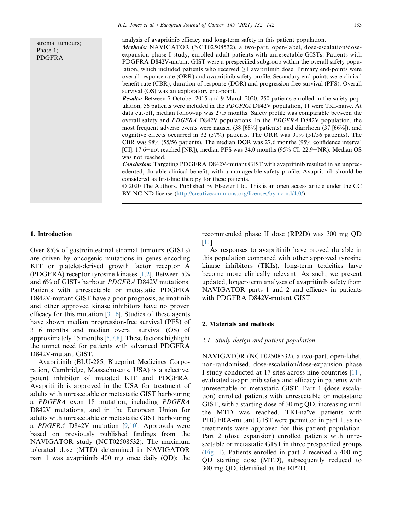stromal tumours; Phase 1; PDGFRA

analysis of avapritinib efficacy and long-term safety in this patient population.

Methods: NAVIGATOR (NCT02508532), a two-part, open-label, dose-escalation/doseexpansion phase I study, enrolled adult patients with unresectable GISTs. Patients with PDGFRA D842V-mutant GIST were a prespecified subgroup within the overall safety population, which included patients who received  $\geq 1$  avapritinib dose. Primary end-points were overall response rate (ORR) and avapritinib safety profile. Secondary end-points were clinical benefit rate (CBR), duration of response (DOR) and progression-free survival (PFS). Overall survival (OS) was an exploratory end-point.

Results: Between 7 October 2015 and 9 March 2020, 250 patients enrolled in the safety population; 56 patients were included in the *PDGFRA* D842V population, 11 were TKI-naïve. At data cut-off, median follow-up was 27.5 months. Safety profile was comparable between the overall safety and PDGFRA D842V populations. In the PDGFRA D842V population, the most frequent adverse events were nausea (38 [68%] patients) and diarrhoea (37 [66%]), and cognitive effects occurred in 32 (57%) patients. The ORR was 91% (51/56 patients). The CBR was 98% (55/56 patients). The median DOR was 27.6 months (95% confidence interval [CI]: 17.6—not reached [NR]); median PFS was  $34.0$  months (95% CI: 22.9—NR). Median OS was not reached.

Conclusion: Targeting PDGFRA D842V-mutant GIST with avapritinib resulted in an unprecedented, durable clinical benefit, with a manageable safety profile. Avapritinib should be considered as first-line therapy for these patients.

ª 2020 The Authors. Published by Elsevier Ltd. This is an open access article under the CC BY-NC-ND license [\(http://creativecommons.org/licenses/by-nc-nd/4.0/\)](http://creativecommons.org/licenses/by-nc-nd/4.0/).

## 1. Introduction

Over 85% of gastrointestinal stromal tumours (GISTs) are driven by oncogenic mutations in genes encoding KIT or platelet-derived growth factor receptor A (PDGFRA) receptor tyrosine kinases [\[1](#page-9-0)[,2](#page-9-1)]. Between 5% and 6% of GISTs harbour PDGFRA D842V mutations. Patients with unresectable or metastatic PDGFRA D842V-mutant GIST have a poor prognosis, as imatinib and other approved kinase inhibitors have no proven efficacy for this mutation  $[3-6]$  $[3-6]$  $[3-6]$ . Studies of these agents have shown median progression-free survival (PFS) of 3–6 months and median overall survival (OS) of approximately 15 months [\[5](#page-9-3),[7,](#page-10-0)[8\]](#page-10-1). These factors highlight the unmet need for patients with advanced PDGFRA D842V-mutant GIST.

Avapritinib (BLU-285, Blueprint Medicines Corporation, Cambridge, Massachusetts, USA) is a selective, potent inhibitor of mutated KIT and PDGFRA. Avapritinib is approved in the USA for treatment of adults with unresectable or metastatic GIST harbouring a PDGFRA exon 18 mutation, including PDGFRA D842V mutations, and in the European Union for adults with unresectable or metastatic GIST harbouring a *PDGFRA* D842V mutation  $[9,10]$  $[9,10]$  $[9,10]$ . Approvals were based on previously published findings from the NAVIGATOR study (NCT02508532). The maximum tolerated dose (MTD) determined in NAVIGATOR part 1 was avapritinib 400 mg once daily (QD); the recommended phase II dose (RP2D) was 300 mg QD [\[11](#page-10-4)].

As responses to avapritinib have proved durable in this population compared with other approved tyrosine kinase inhibitors (TKIs), long-term toxicities have become more clinically relevant. As such, we present updated, longer-term analyses of avapritinib safety from NAVIGATOR parts 1 and 2 and efficacy in patients with PDGFRA D842V-mutant GIST.

## 2. Materials and methods

#### 2.1. Study design and patient population

NAVIGATOR (NCT02508532), a two-part, open-label, non-randomised, dose-escalation/dose-expansion phase I study conducted at 17 sites across nine countries [\[11](#page-10-4)], evaluated avapritinib safety and efficacy in patients with unresectable or metastatic GIST. Part 1 (dose escalation) enrolled patients with unresectable or metastatic GIST, with a starting dose of 30 mg QD, increasing until the MTD was reached. TKI-naïve patients with PDGFRA-mutant GIST were permitted in part 1, as no treatments were approved for this patient population. Part 2 (dose expansion) enrolled patients with unresectable or metastatic GIST in three prespecified groups ([Fig. 1\)](#page-2-0). Patients enrolled in part 2 received a 400 mg QD starting dose (MTD), subsequently reduced to 300 mg QD, identified as the RP2D.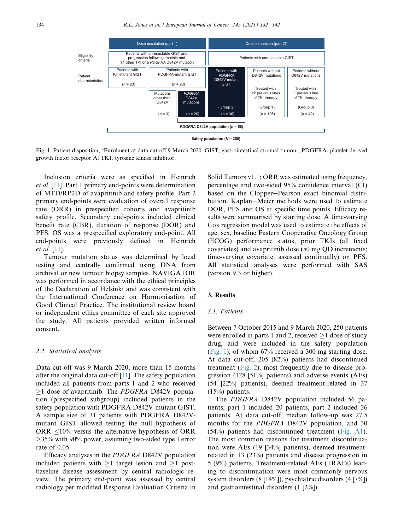<span id="page-2-0"></span>

Fig. 1. Patient disposition, <sup>a</sup>Enrolment at data cut-off 9 March 2020. GIST, gastrointestinal stromal tumour; PDGFRA, platelet-derived growth factor receptor A; TKI, tyrosine kinase inhibitor.

Inclusion criteria were as specified in Heinrich et al. [[11\]](#page-10-4). Part 1 primary end-points were determination of MTD/RP2D of avapritinib and safety profile. Part 2 primary end-points were evaluation of overall response rate (ORR) in prespecified cohorts and avapritinib safety profile. Secondary end-points included clinical benefit rate (CBR), duration of response (DOR) and PFS. OS was a prespecified exploratory end-point. All end-points were previously defined in Heinrich et al. [\[11](#page-10-4)].

Tumour mutation status was determined by local testing and centrally confirmed using DNA from archival or new tumour biopsy samples. NAVIGATOR was performed in accordance with the ethical principles of the Declaration of Helsinki and was consistent with the International Conference on Harmonisation of Good Clinical Practice. The institutional review board or independent ethics committee of each site approved the study. All patients provided written informed consent.

### 2.2. Statistical analysis

Data cut-off was 9 March 2020, more than 15 months after the original data cut-off [\[11](#page-10-4)]. The safety population included all patients from parts 1 and 2 who received  $\geq$ 1 dose of avapritinib. The *PDGFRA* D842V population (prespecified subgroup) included patients in the safety population with PDGFRA D842V-mutant GIST. A sample size of 31 patients with PDGFRA D842Vmutant GIST allowed testing the null hypothesis of ORR  $\leq 10\%$  versus the alternative hypothesis of ORR  $\geq$ 35% with 90% power, assuming two-sided type I error rate of 0.05.

Efficacy analyses in the PDGFRA D842V population included patients with  $\geq 1$  target lesion and  $\geq 1$  postbaseline disease assessment by central radiologic review. The primary end-point was assessed by central radiology per modified Response Evaluation Criteria in

Solid Tumors v1.1; ORR was estimated using frequency, percentage and two-sided 95% confidence interval (CI) based on the Clopper-Pearson exact binomial distribution. Kaplan–Meier methods were used to estimate DOR, PFS and OS at specific time points. Efficacy results were summarised by starting dose. A time-varying Cox regression model was used to estimate the effects of age, sex, baseline Eastern Cooperative Oncology Group (ECOG) performance status, prior TKIs (all fixed covariates) and avapritinib dose (50 mg QD increments; time-varying covariate, assessed continually) on PFS. All statistical analyses were performed with SAS (version 9.3 or higher).

# 3. Results

# 3.1. Patients

Between 7 October 2015 and 9 March 2020, 250 patients were enrolled in parts 1 and 2, received  $\geq 1$  dose of study drug, and were included in the safety population [\(Fig. 1](#page-2-0)), of whom 67% received a 300 mg starting dose. At data cut-off, 205 (82%) patients had discontinued treatment [\(Fig. 2\)](#page-3-0), most frequently due to disease progression (128 [51%] patients) and adverse events (AEs) (54 [22%] patients), deemed treatment-related in 37  $(15%)$  patients.

The PDGFRA D842V population included 56 patients; part 1 included 20 patients, part 2 included 36 patients. At data cut-off, median follow-up was 27.5 months for the PDGFRA D842V population, and 30 (54%) patients had discontinued treatment (Fig. A1). The most common reasons for treatment discontinuation were AEs (19 [34%] patients), deemed treatmentrelated in 13 (23%) patients and disease progression in 5 (9%) patients. Treatment-related AEs (TRAEs) leading to discontinuation were most commonly nervous system disorders (8 [14%]), psychiatric disorders (4 [7%]) and gastrointestinal disorders (1 [2%]).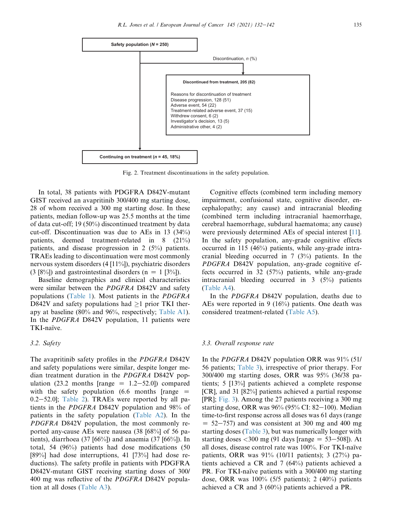<span id="page-3-0"></span>

Fig. 2. Treatment discontinuations in the safety population.

In total, 38 patients with PDGFRA D842V-mutant GIST received an avapritinib 300/400 mg starting dose, 28 of whom received a 300 mg starting dose. In these patients, median follow-up was 25.5 months at the time of data cut-off; 19 (50%) discontinued treatment by data cut-off. Discontinuation was due to AEs in 13 (34%) patients, deemed treatment-related in 8 (21%) patients, and disease progression in 2 (5%) patients. TRAEs leading to discontinuation were most commonly nervous system disorders (4 [11%]), psychiatric disorders  $(3 [8\%])$  and gastrointestinal disorders  $(n = 1 [3\%])$ .

Baseline demographics and clinical characteristics were similar between the PDGFRA D842V and safety populations ([Table 1](#page-4-0)). Most patients in the PDGFRA D842V and safety populations had  $\geq$ 1 prior TKI therapy at baseline (80% and 96%, respectively; Table A1). In the PDGFRA D842V population, 11 patients were TKI-naïve.

# 3.2. Safety

The avapritinib safety profiles in the PDGFRA D842V and safety populations were similar, despite longer median treatment duration in the PDGFRA D842V population (23.2 months [range  $= 1.2-52.0$ ]) compared with the safety population  $(6.6 \text{ months}$  [range  $=$  $0.2-52.0$ ]; [Table 2](#page-5-0)). TRAEs were reported by all patients in the PDGFRA D842V population and 98% of patients in the safety population (Table A2). In the PDGFRA D842V population, the most commonly reported any-cause AEs were nausea (38 [68%] of 56 patients), diarrhoea (37 [66%]) and anaemia (37 [66%]). In total, 54 (96%) patients had dose modifications (50 [89%] had dose interruptions, 41 [73%] had dose reductions). The safety profile in patients with PDGFRA D842V-mutant GIST receiving starting doses of 300/ 400 mg was reflective of the PDGFRA D842V population at all doses (Table A3).

Cognitive effects (combined term including memory impairment, confusional state, cognitive disorder, encephalopathy; any cause) and intracranial bleeding (combined term including intracranial haemorrhage, cerebral haemorrhage, subdural haematoma; any cause) were previously determined AEs of special interest [\[11](#page-10-4)]. In the safety population, any-grade cognitive effects occurred in 115 (46%) patients, while any-grade intracranial bleeding occurred in 7 (3%) patients. In the PDGFRA D842V population, any-grade cognitive effects occurred in 32 (57%) patients, while any-grade intracranial bleeding occurred in 3 (5%) patients (Table A4).

In the PDGFRA D842V population, deaths due to AEs were reported in 9 (16%) patients. One death was considered treatment-related (Table A5).

### 3.3. Overall response rate

In the PDGFRA D842V population ORR was 91% (51/ 56 patients; [Table 3](#page-6-0)), irrespective of prior therapy. For 300/400 mg starting doses, ORR was 95% (36/38 patients; 5 [13%] patients achieved a complete response [CR], and 31 [82%] patients achieved a partial response [PR]; [Fig. 3](#page-5-1)). Among the 27 patients receiving a 300 mg starting dose, ORR was  $96\%$  (95% CI: 82-100). Median time-to-first response across all doses was 61 days (range  $= 52 - 757$ ) and was consistent at 300 mg and 400 mg starting doses [\(Table 3\)](#page-6-0), but was numerically longer with starting doses  $\langle 300 \text{ mg} (91 \text{ days} \text{ frame} = 53 - 508)$ . At all doses, disease control rate was 100%. For TKI-naïve patients, ORR was 91% (10/11 patients); 3 (27%) patients achieved a CR and 7 (64%) patients achieved a PR. For TKI-naïve patients with a 300/400 mg starting dose, ORR was 100% (5/5 patients); 2 (40%) patients achieved a CR and 3 (60%) patients achieved a PR.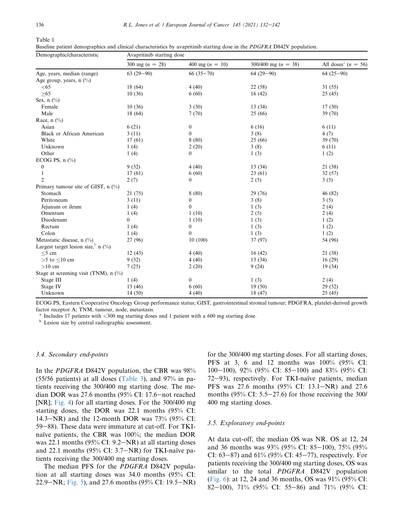<span id="page-4-0"></span>Table 1

Baseline patient demographics and clinical characteristics by avapritinib starting dose in the PDGFRA D842V population.

| Demographic/characteristic            | Avapritinib starting dose |                   |                       |                                     |  |  |
|---------------------------------------|---------------------------|-------------------|-----------------------|-------------------------------------|--|--|
|                                       | 300 mg $(n = 28)$         | 400 mg $(n = 10)$ | 300/400 mg $(n = 38)$ | All doses <sup>a</sup> ( $n = 56$ ) |  |  |
| Age, years, median (range)            | $63(29-90)$               | $66(35-70)$       | $64(29-90)$           | $64(25-90)$                         |  |  |
| Age group, years, $n \binom{0}{0}$    |                           |                   |                       |                                     |  |  |
| < 65                                  | 18 (64)                   | 4(40)             | 22(58)                | 31(55)                              |  |  |
| $\geq 65$                             | 10(36)                    | 6(60)             | 16(42)                | 25(45)                              |  |  |
| Sex, $n$ $(\%)$                       |                           |                   |                       |                                     |  |  |
| Female                                | 10(36)                    | 3(30)             | 13(34)                | 17(30)                              |  |  |
| Male                                  | 18(64)                    | 7(70)             | 25(66)                | 39 (70)                             |  |  |
| Race, $n$ (%)                         |                           |                   |                       |                                     |  |  |
| Asian                                 | 6(21)                     | $\boldsymbol{0}$  | 6(16)                 | 6(11)                               |  |  |
| <b>Black or African American</b>      | 3(11)                     | $\boldsymbol{0}$  | 3(8)                  | 4(7)                                |  |  |
| White                                 | 17(61)                    | 8(80)             | 25 (66)               | 39 (70)                             |  |  |
| Unknown                               | 1(4)                      | 2(20)             | 3(8)                  | 6(11)                               |  |  |
| Other                                 | 1(4)                      | $\theta$          | 1(3)                  | 1(2)                                |  |  |
| ECOG PS, $n$ $(\%)$                   |                           |                   |                       |                                     |  |  |
| $\boldsymbol{0}$                      | 9(32)                     | 4(40)             | 13(34)                | 21 (38)                             |  |  |
| 1                                     | 17(61)                    | 6(60)             | 23(61)                | 32(57)                              |  |  |
| $\overline{2}$                        | 2(7)                      | $\overline{0}$    | 2(5)                  | 3(5)                                |  |  |
| Primary tumour site of GIST, $n$ (%)  |                           |                   |                       |                                     |  |  |
| Stomach                               | 21(75)                    | 8(80)             | 29(76)                | 46 (82)                             |  |  |
| Peritoneum                            | 3(11)                     | $\boldsymbol{0}$  | 3(8)                  | 3(5)                                |  |  |
| Jejunum or ileum                      | 1(4)                      | $\mathbf{0}$      | 1(3)                  | 2(4)                                |  |  |
| Omentum                               | 1(4)                      | 1(10)             | 2(5)                  | 2(4)                                |  |  |
| Duodenum                              | $\overline{0}$            | 1(10)             | 1(3)                  | 1(2)                                |  |  |
| Rectum                                | 1(4)                      | 0                 | 1(3)                  | 1(2)                                |  |  |
| Colon                                 | 1(4)                      | $\overline{0}$    | 1(3)                  | 1(2)                                |  |  |
| Metastatic disease, n (%)             | 27 (96)                   | 10(100)           | 37(97)                | 54 (96)                             |  |  |
| Largest target lesion size, $b$ n (%) |                           |                   |                       |                                     |  |  |
| $<$ 5 cm                              | 12(43)                    | 4(40)             | 16(42)                | 21 (38)                             |  |  |
| $>5$ to $<10$ cm                      | 9(32)                     | 4(40)             | 13(34)                | 16(29)                              |  |  |
| $>10$ cm                              | 7(25)                     | 2(20)             | 9(24)                 | 19(34)                              |  |  |
| Stage at screening visit (TNM), n (%) |                           |                   |                       |                                     |  |  |
| Stage III                             | 1(4)                      | $\boldsymbol{0}$  | 1(3)                  | 2(4)                                |  |  |
| Stage IV                              | 13(46)                    | 6(60)             | 19(50)                | 29(52)                              |  |  |
| Unknown                               | 14(50)                    | 4(40)             | 18 (47)               | 25(45)                              |  |  |

ECOG PS, Eastern Cooperative Oncology Group performance status; GIST, gastrointestinal stromal tumour; PDGFRA, platelet-derived growth factor receptor A; TNM, tumour, node, metastasis.

<sup>a</sup> Includes 17 patients with <sup>&</sup>lt;300 mg starting doses and 1 patient with a 600 mg starting dose. <sup>b</sup> Lesion size by central radiographic assessment.

#### 3.4. Secondary end-points

In the PDGFRA D842V population, the CBR was 98% (55/56 patients) at all doses ([Table 3\)](#page-6-0), and 97% in patients receiving the 300/400 mg starting dose. The median DOR was  $27.6$  months (95% CI: 17.6–not reached [NR]; [Fig. 4](#page-6-1)) for all starting doses. For the 300/400 mg starting doses, the DOR was 22.1 months (95% CI: 14.3–NR) and the 12-month DOR was  $73\%$  (95% CI: 59–88). These data were immature at cut-off. For TKInaïve patients, the CBR was 100%; the median DOR was 22.1 months  $(95\%$  CI:  $9.2-NR$ ) at all starting doses and 22.1 months (95% CI:  $3.7-NR$ ) for TKI-naïve patients receiving the 300/400 mg starting doses.

The median PFS for the PDGFRA D842V population at all starting doses was 34.0 months (95% CI: 22.9–NR; [Fig. 5](#page-7-0)), and 27.6 months (95% CI: 19.5–NR) for the 300/400 mg starting doses. For all starting doses, PFS at 3, 6 and 12 months was 100% (95% CI: 100–100), 92% (95% CI: 85–100) and 83% (95% CI: 72–93), respectively. For TKI-naïve patients, median PFS was 27.6 months (95% CI: 13.1–NR) and 27.6 months (95% CI:  $5.5-27.6$ ) for those receiving the 300/ 400 mg starting doses.

## 3.5. Exploratory end-points

At data cut-off, the median OS was NR. OS at 12, 24 and 36 months was  $93\%$  (95% CI: 85-100), 75% (95% CI: 63–87) and 61% (95% CI: 45–77), respectively. For patients receiving the 300/400 mg starting doses, OS was similar to the total PDGFRA D842V population [\(Fig. 6\)](#page-7-1): at 12, 24 and 36 months, OS was 91% (95% CI: 82-100), 71% (95% CI: 55-86) and 71% (95% CI: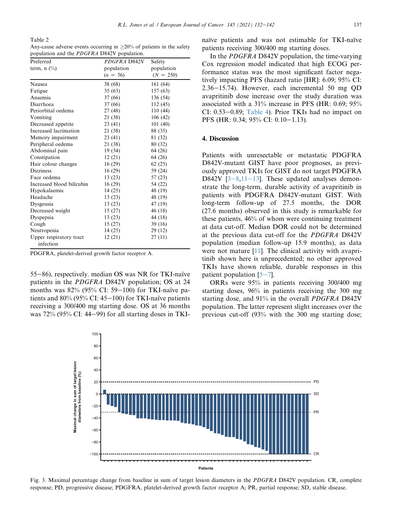<span id="page-5-0"></span>Table 2

| Any-cause adverse events occurring in $\geq$ 20% of patients in the safety |  |
|----------------------------------------------------------------------------|--|
| population and the <i>PDGFRA</i> D842V population.                         |  |

| Preferred                            | PDGFRA D842V | Safety      |
|--------------------------------------|--------------|-------------|
| term, $n$ $\left(\frac{0}{0}\right)$ | population   | population  |
|                                      | $(n = 56)$   | $(N = 250)$ |
| <b>Nausea</b>                        | 38 (68)      | 161 (64)    |
| Fatigue                              | 35(63)       | 157 (63)    |
| Anaemia                              | 37 (66)      | 136 (54)    |
| Diarrhoea                            | 37 (66)      | 112 (45)    |
| Periorbital oedema                   | 27 (48)      | 110 (44)    |
| Vomiting                             | 21 (38)      | 106(42)     |
| Decreased appetite                   | 23 (41)      | 101(40)     |
| Increased lacrimation                | 21 (38)      | 88 (35)     |
| Memory impairment                    | 23(41)       | 81 (32)     |
| Peripheral oedema                    | 21 (38)      | 80 (32)     |
| Abdominal pain                       | 19 (34)      | 64 (26)     |
| Constipation                         | 12(21)       | 64 (26)     |
| Hair colour changes                  | 16(29)       | 62(25)      |
| <b>Dizziness</b>                     | 16(29)       | 59 (24)     |
| Face oedema                          | 13(23)       | 57 (23)     |
| Increased blood bilirubin            | 16(29)       | 54 (22)     |
| Hypokalaemia                         | 14 (25)      | 48 (19)     |
| Headache                             | 13(23)       | 48 (19)     |
| Dysgeusia                            | 13 (23)      | 47 (19)     |
| Decreased weight                     | 15(27)       | 46 (18)     |
| Dyspepsia                            | 13(23)       | 44 (18)     |
| Cough                                | 15(27)       | 39(16)      |
| Neutropenia                          | 14(25)       | 29 (12)     |
| Upper respiratory tract              | 12(21)       | 27(11)      |
| infection                            |              |             |

PDGFRA, platelet-derived growth factor receptor A.

55-86), respectively. median OS was NR for TKI-naïve patients in the PDGFRA D842V population; OS at 24 months was  $82\%$  (95% CI: 59-100) for TKI-naïve patients and  $80\%$  (95% CI: 45–100) for TKI-naïve patients receiving a 300/400 mg starting dose. OS at 36 months was  $72\%$  (95% CI: 44–99) for all starting doses in TKI- naïve patients and was not estimable for TKI-naïve patients receiving 300/400 mg starting doses.

In the PDGFRA D842V population, the time-varying Cox regression model indicated that high ECOG performance status was the most significant factor negatively impacting PFS (hazard ratio [HR]: 6.09; 95% CI:  $2.36-15.74$ ). However, each incremental 50 mg OD avapritinib dose increase over the study duration was associated with a 31% increase in PFS (HR: 0.69; 95% CI:  $0.53-0.89$ ; [Table 4\)](#page-7-2). Prior TKIs had no impact on PFS (HR: 0.34; 95% CI: 0.10-1.13).

#### 4. Discussion

Patients with unresectable or metastatic PDGFRA D842V-mutant GIST have poor prognoses, as previously approved TKIs for GIST do not target PDGFRA D[8](#page-9-2)42V  $[3-8,11-13]$  $[3-8,11-13]$  $[3-8,11-13]$  $[3-8,11-13]$  $[3-8,11-13]$  $[3-8,11-13]$  $[3-8,11-13]$ . These updated analyses demonstrate the long-term, durable activity of avapritinib in patients with PDGFRA D842V-mutant GIST. With long-term follow-up of 27.5 months, the DOR (27.6 months) observed in this study is remarkable for these patients, 46% of whom were continuing treatment at data cut-off. Median DOR could not be determined at the previous data cut-off for the PDGFRA D842V population (median follow-up 15.9 months), as data were not mature  $[11]$  $[11]$ . The clinical activity with avapritinib shown here is unprecedented; no other approved TKIs have shown reliable, durable responses in this patient population  $[5-7]$  $[5-7]$  $[5-7]$ .

ORRs were 95% in patients receiving 300/400 mg starting doses, 96% in patients receiving the 300 mg starting dose, and 91% in the overall PDGFRA D842V population. The latter represent slight increases over the previous cut-off (93% with the 300 mg starting dose;

<span id="page-5-1"></span>

Fig. 3. Maximal percentage change from baseline in sum of target lesion diameters in the PDGFRA D842V population. CR, complete response; PD, progressive disease; PDGFRA, platelet-derived growth factor receptor A; PR, partial response; SD, stable disease.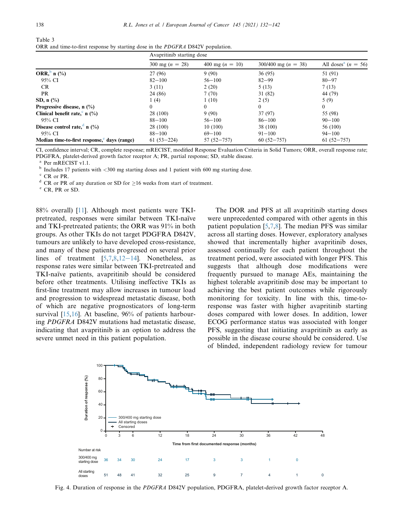<span id="page-6-0"></span>

| Table 3                                                                                |  |
|----------------------------------------------------------------------------------------|--|
| ORR and time-to-first response by starting dose in the <i>PDGFRA</i> D842V population. |  |

|                                             | Avapritinib starting dose |                   |                           |                                     |
|---------------------------------------------|---------------------------|-------------------|---------------------------|-------------------------------------|
|                                             | 300 mg $(n = 28)$         | 400 mg $(n = 10)$ | $300/400$ mg ( $n = 38$ ) | All doses <sup>a</sup> ( $n = 56$ ) |
| ORR, n $(\%)$                               | 27 (96)                   | 9(90)             | 36(95)                    | 51 (91)                             |
| 95% CI                                      | $82 - 100$                | $56 - 100$        | $82 - 99$                 | $80 - 97$                           |
| CR.                                         | 3(11)                     | 2(20)             | 5(13)                     | 7(13)                               |
| PR                                          | 24 (86)                   | 7(70)             | 31 (82)                   | 44 (79)                             |
| SD, $n$ $\left(\frac{9}{6}\right)$          | 1(4)                      | 1(10)             | 2(5)                      | 5(9)                                |
| Progressive disease, $n$ (%)                | $\theta$                  | $\theta$          | $\theta$                  | $\left($                            |
| Clinical benefit rate, $\int_0^b n(\% )$    | 28 (100)                  | 9(90)             | 37(97)                    | 55 (98)                             |
| 95% CI                                      | $88 - 100$                | $56 - 100$        | $86 - 100$                | $90 - 100$                          |
| Disease control rate, $\alpha$ n (%)        | 28 (100)                  | 10(100)           | 38 (100)                  | 56 (100)                            |
| 95% CI                                      | $88 - 100$                | $69 - 100$        | $91 - 100$                | $94 - 100$                          |
| Median time-to-first response, days (range) | $61(53 - 224)$            | $57(52 - 757)$    | $60(52 - 757)$            | $61(52 - 757)$                      |

CI, confidence interval; CR, complete response; mRECIST, modified Response Evaluation Criteria in Solid Tumors; ORR, overall response rate; PDGFRA, platelet-derived growth factor receptor A; PR, partial response; SD, stable disease.

<sup>a</sup> Per mRECIST v1.1.<br><sup>b</sup> Includes 17 patients with <300 mg starting doses and 1 patient with 600 mg starting dose. <br><sup>c</sup> CR or PR. d<br>d CR or PR of any duration or SD for  $\geq$ 16 weeks from start of treatment.<br>e CR, PR or

88% overall) [[11\]](#page-10-4). Although most patients were TKIpretreated, responses were similar between TKI-naïve and TKI-pretreated patients; the ORR was 91% in both groups. As other TKIs do not target PDGFRA D842V, tumours are unlikely to have developed cross-resistance, and many of these patients progressed on several prior lines of treatment  $[5,7,8,12-14]$  $[5,7,8,12-14]$  $[5,7,8,12-14]$  $[5,7,8,12-14]$  $[5,7,8,12-14]$  $[5,7,8,12-14]$  $[5,7,8,12-14]$  $[5,7,8,12-14]$  $[5,7,8,12-14]$ . Nonetheless, as response rates were similar between TKI-pretreated and TKI-naïve patients, avapritinib should be considered before other treatments. Utilising ineffective TKIs as first-line treatment may allow increases in tumour load and progression to widespread metastatic disease, both of which are negative prognosticators of long-term survival  $[15,16]$  $[15,16]$  $[15,16]$ . At baseline, 96% of patients harbouring PDGFRA D842V mutations had metastatic disease, indicating that avapritinib is an option to address the severe unmet need in this patient population.

The DOR and PFS at all avapritinib starting doses were unprecedented compared with other agents in this patient population [[5,](#page-9-3)[7](#page-10-0)[,8](#page-10-1)]. The median PFS was similar across all starting doses. However, exploratory analyses showed that incrementally higher avapritinib doses, assessed continually for each patient throughout the treatment period, were associated with longer PFS. This suggests that although dose modifications were frequently pursued to manage AEs, maintaining the highest tolerable avapritinib dose may be important to achieving the best patient outcomes while rigorously monitoring for toxicity. In line with this, time-toresponse was faster with higher avapritinib starting doses compared with lower doses. In addition, lower ECOG performance status was associated with longer PFS, suggesting that initiating avapritinib as early as possible in the disease course should be considered. Use of blinded, independent radiology review for tumour

<span id="page-6-1"></span>

Fig. 4. Duration of response in the PDGFRA D842V population, PDGFRA, platelet-derived growth factor receptor A.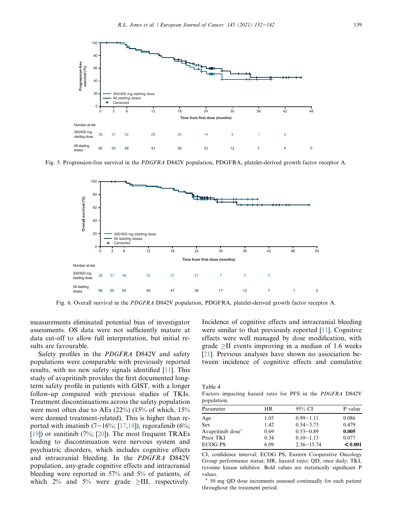<span id="page-7-0"></span>

<span id="page-7-1"></span>Fig. 5. Progression-free survival in the PDGFRA D842V population, PDGFRA, platelet-derived growth factor receptor A.



Fig. 6. Overall survival in the PDGFRA D842V population, PDGFRA, platelet-derived growth factor receptor A.

measurements eliminated potential bias of investigator assessments. OS data were not sufficiently mature at data cut-off to allow full interpretation, but initial results are favourable.

Safety profiles in the PDGFRA D842V and safety populations were comparable with previously reported results, with no new safety signals identified [\[11](#page-10-4)]. This study of avapritinib provides the first documented longterm safety profile in patients with GIST, with a longer follow-up compared with previous studies of TKIs. Treatment discontinuations across the safety population were most often due to AEs  $(22%)$   $(15%$  of which,  $15%$ were deemed treatment-related). This is higher than reported with imatinib  $(7-16\%; [17,18])$  $(7-16\%; [17,18])$  $(7-16\%; [17,18])$  $(7-16\%; [17,18])$ , regorafenib  $(6\%;$ [\[19](#page-10-10)]) or sunitinib  $(7\%; [20])$  $(7\%; [20])$  $(7\%; [20])$ . The most frequent TRAEs leading to discontinuation were nervous system and psychiatric disorders, which includes cognitive effects and intracranial bleeding. In the PDGFRA D842V population, any-grade cognitive effects and intracranial bleeding were reported in 57% and 5% of patients, of which  $2\%$  and  $5\%$  were grade >III, respectively. Incidence of cognitive effects and intracranial bleeding were similar to that previously reported [\[11](#page-10-4)]. Cognitive effects were well managed by dose modification, with grade  $\geq$ II events improving in a median of 1.6 weeks [\[21](#page-10-12)]. Previous analyses have shown no association between incidence of cognitive effects and cumulative

<span id="page-7-2"></span>Table 4

Factors impacting hazard ratio for PFS in the PDGFRA D842V population.

| .                             |      |                |         |
|-------------------------------|------|----------------|---------|
| Parameter                     | HR   | 95% CI         | P value |
| Age                           | 1.05 | $0.99 - 1.11$  | 0.086   |
| <b>Sex</b>                    | 1.42 | $0.54 - 3.73$  | 0.479   |
| Avapritinib dose <sup>a</sup> | 0.69 | $0.53 - 0.89$  | 0.005   |
| Prior TKI                     | 0.34 | $0.10 - 1.13$  | 0.077   |
| ECOG PS                       | 6.09 | $2.36 - 15.74$ | < 0.001 |
|                               |      |                |         |

CI, confidence interval; ECOG PS, Eastern Cooperative Oncology Group performance status; HR, hazard ratio; QD, once daily; TKI, tyrosine kinase inhibitor. Bold values are statistically significant P values.

<sup>a</sup> 50 mg QD dose increments assessed continually for each patient throughout the treatment period.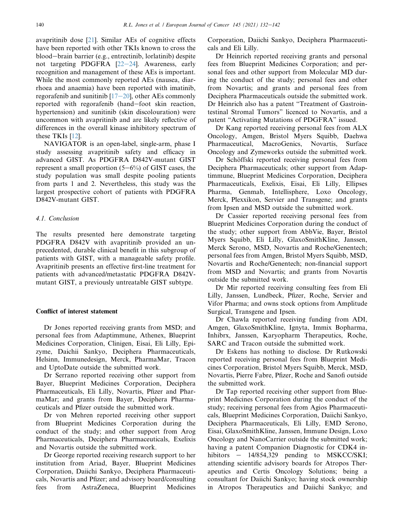avapritinib dose [[21\]](#page-10-12). Similar AEs of cognitive effects have been reported with other TKIs known to cross the blood-brain barrier (e.g., entrectinib, lorlatinib) despite not targeting PDGFRA  $[22-24]$  $[22-24]$  $[22-24]$  $[22-24]$  $[22-24]$ . Awareness, early recognition and management of these AEs is important. While the most commonly reported AEs (nausea, diarrhoea and anaemia) have been reported with imatinib, regorafenib and sunitinib  $[17-20]$  $[17-20]$  $[17-20]$  $[17-20]$ , other AEs commonly reported with regorafenib (hand-foot skin reaction, hypertension) and sunitinib (skin discolouration) were uncommon with avapritinib and are likely reflective of differences in the overall kinase inhibitory spectrum of these TKIs [\[12](#page-10-5)].

NAVIGATOR is an open-label, single-arm, phase I study assessing avapritinib safety and efficacy in advanced GIST. As PDGFRA D842V-mutant GIST represent a small proportion  $(5-6%)$  of GIST cases, the study population was small despite pooling patients from parts 1 and 2. Nevertheless, this study was the largest prospective cohort of patients with PDGFRA D842V-mutant GIST.

## 4.1. Conclusion

The results presented here demonstrate targeting PDGFRA D842V with avapritinib provided an unprecedented, durable clinical benefit in this subgroup of patients with GIST, with a manageable safety profile. Avapritinib presents an effective first-line treatment for patients with advanced/metastatic PDGFRA D842Vmutant GIST, a previously untreatable GIST subtype.

# Conflict of interest statement

Dr Jones reported receiving grants from MSD; and personal fees from Adaptimmune, Athenex, Blueprint Medicines Corporation, Clinigen, Eisai, Eli Lilly, Epizyme, Daichii Sankyo, Deciphera Pharmaceuticals, Helsinn, Immunedesign, Merck, PharmaMar, Tracon and UptoDate outside the submitted work.

Dr Serrano reported receiving other support from Bayer, Blueprint Medicines Corporation, Deciphera Pharmaceuticals, Eli Lilly, Novartis, Pfizer and PharmaMar; and grants from Bayer, Deciphera Pharmaceuticals and Pfizer outside the submitted work.

Dr von Mehren reported receiving other support from Blueprint Medicines Corporation during the conduct of the study; and other support from Arog Pharmaceuticals, Deciphera Pharmaceuticals, Exelixis and Novartis outside the submitted work.

Dr George reported receiving research support to her institution from Ariad, Bayer, Blueprint Medicines Corporation, Daiichi Sankyo, Deciphera Pharmaceuticals, Novartis and Pfizer; and advisory board/consulting fees from AstraZeneca, Blueprint Medicines

Corporation, Daiichi Sankyo, Deciphera Pharmaceuticals and Eli Lilly.

Dr Heinrich reported receiving grants and personal fees from Blueprint Medicines Corporation; and personal fees and other support from Molecular MD during the conduct of the study; personal fees and other from Novartis; and grants and personal fees from Deciphera Pharmaceuticals outside the submitted work. Dr Heinrich also has a patent "Treatment of Gastrointestinal Stromal Tumors" licenced to Novartis, and a patent "Activating Mutations of PDGFRA" issued.

Dr Kang reported receiving personal fees from ALX Oncology, Amgen, Bristol Myers Squibb, Daehwa Pharmaceutical, MacroGenics, Novartis, Surface Oncology and Zymeworks outside the submitted work.

Dr Schöffski reported receiving personal fees from Deciphera Pharmaceuticals; other support from Adaptimmune, Blueprint Medicines Corporation, Deciphera Pharmaceuticals, Exelixis, Eisai, Eli Lilly, Ellipses Pharma, Genmab, Intellisphere, Loxo Oncology, Merck, Plexxikon, Servier and Transgene; and grants from Ipsen and MSD outside the submitted work.

Dr Cassier reported receiving personal fees from Blueprint Medicines Corporation during the conduct of the study; other support from AbbVie, Bayer, Bristol Myers Squibb, Eli Lilly, GlaxoSmithKline, Janssen, Merck Serono, MSD, Novartis and Roche/Genentech; personal fees from Amgen, Bristol Myers Squibb, MSD, Novartis and Roche/Genentech; non-financial support from MSD and Novartis; and grants from Novartis outside the submitted work.

Dr Mir reported receiving consulting fees from Eli Lilly, Janssen, Lundbeck, Pfizer, Roche, Servier and Vifor Pharma; and owns stock options from Amplitude Surgical, Transgene and Ipsen.

Dr Chawla reported receiving funding from ADI, Amgen, GlaxoSmithKline, Ignyta, Immix Bopharma, Inhibrx, Janssen, Karyopharm Therapeutics, Roche, SARC and Tracon outside the submitted work.

Dr Eskens has nothing to disclose. Dr Rutkowski reported receiving personal fees from Blueprint Medicines Corporation, Bristol Myers Squibb, Merck, MSD, Novartis, Pierre Fabre, Pfizer, Roche and Sanofi outside the submitted work.

Dr Tap reported receiving other support from Blueprint Medicines Corporation during the conduct of the study; receiving personal fees from Agios Pharmaceuticals, Blueprint Medicines Corporation, Daiichi Sankyo, Deciphera Pharmaceuticals, Eli Lilly, EMD Serono, Eisai, GlaxoSmithKline, Janssen, Immune Design, Loxo Oncology and NanoCarrier outside the submitted work; having a patent Companion Diagnostic for CDK4 inhibitors  $-$  14/854,329 pending to MSKCC/SKI; attending scientific advisory boards for Atropos Therapeutics and Certis Oncology Solutions; being a consultant for Daiichi Sankyo; having stock ownership in Atropos Therapeutics and Daiichi Sankyo; and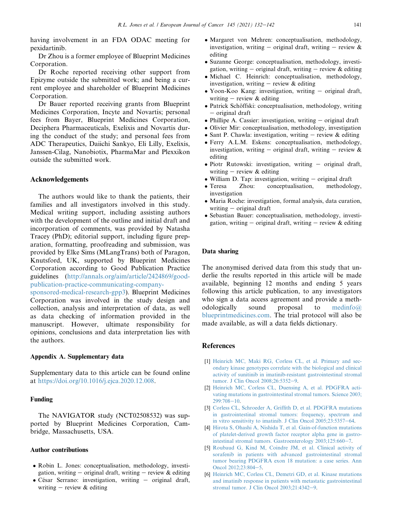having involvement in an FDA ODAC meeting for pexidartinib.

Dr Zhou is a former employee of Blueprint Medicines Corporation.

Dr Roche reported receiving other support from Epizyme outside the submitted work; and being a current employee and shareholder of Blueprint Medicines Corporation.

Dr Bauer reported receiving grants from Blueprint Medicines Corporation, Incyte and Novartis; personal fees from Bayer, Blueprint Medicines Corporation, Deciphera Pharmaceuticals, Exelixis and Novartis during the conduct of the study; and personal fees from ADC Therapeutics, Daiichi Sankyo, Eli Lilly, Exelixis, Janssen-Cilag, Nanobiotix, PharmaMar and Plexxikon outside the submitted work.

### Acknowledgements

The authors would like to thank the patients, their families and all investigators involved in this study. Medical writing support, including assisting authors with the development of the outline and initial draft and incorporation of comments, was provided by Natasha Tracey (PhD); editorial support, including figure preparation, formatting, proofreading and submission, was provided by Elke Sims (MLangTrans) both of Paragon, Knutsford, UK, supported by Blueprint Medicines Corporation according to Good Publication Practice guidelines ([http://annals.org/aim/article/2424869/good](http://annals.org/aim/article/2424869/good-publication-practice-communicating-company-sponsored-medical-research-gpp3)[publication-practice-communicating-company-](http://annals.org/aim/article/2424869/good-publication-practice-communicating-company-sponsored-medical-research-gpp3)

[sponsored-medical-research-gpp3\)](http://annals.org/aim/article/2424869/good-publication-practice-communicating-company-sponsored-medical-research-gpp3). Blueprint Medicines Corporation was involved in the study design and collection, analysis and interpretation of data, as well as data checking of information provided in the manuscript. However, ultimate responsibility for opinions, conclusions and data interpretation lies with the authors.

## Appendix A. Supplementary data

Supplementary data to this article can be found online at [https://doi.org/10.1016/j.ejca.2020.12.008.](https://doi.org/10.1016/j.ejca.2020.12.008)

# Funding

The NAVIGATOR study (NCT02508532) was supported by Blueprint Medicines Corporation, Cambridge, Massachusetts, USA.

### Author contributions

- Robin L. Jones: conceptualisation, methodology, investigation, writing  $-$  original draft, writing  $-$  review  $\&$  editing
- $\bullet$  César Serrano: investigation, writing  $-$  original draft, writing  $-$  review & editing
- Margaret von Mehren: conceptualisation, methodology, investigation, writing  $-$  original draft, writing  $-$  review  $\&$ editing
- Suzanne George: conceptualisation, methodology, investigation, writing  $-$  original draft, writing  $-$  review  $\&$  editing
- Michael C. Heinrich: conceptualisation, methodology, investigation, writing  $-$  review & editing
- Yoon-Koo Kang: investigation, writing  $-$  original draft, writing  $-$  review & editing
- Patrick Schöffski: conceptualisation, methodology, writing - original draft
- $\bullet$  Phillipe A. Cassier: investigation, writing  $-$  original draft
- Olivier Mir: conceptualisation, methodology, investigation
- Sant P. Chawla: investigation, writing  $-$  review & editing
- Ferry A.L.M. Eskens: conceptualisation, methodology, investigation, writing  $-$  original draft, writing  $-$  review  $\&$ editing
- $\bullet$  Piotr Rutowski: investigation, writing  $-$  original draft, writing  $-$  review & editing
- William D. Tap: investigation, writing  $-$  original draft<br>• Teresa Zhou: conceptualisation, methodology,
- conceptualisation, investigation
- Maria Roche: investigation, formal analysis, data curation, writing  $-$  original draft
- Sebastian Bauer: conceptualisation, methodology, investigation, writing  $-$  original draft, writing  $-$  review  $\&$  editing

### Data sharing

The anonymised derived data from this study that underlie the results reported in this article will be made available, beginning 12 months and ending 5 years following this article publication, to any investigators who sign a data access agreement and provide a methodologically sound proposal to [medinfo@](mailto:medinfo@blueprintmedicines.com) [blueprintmedicines.com.](mailto:medinfo@blueprintmedicines.com) The trial protocol will also be made available, as will a data fields dictionary.

## <span id="page-9-0"></span>References

- [1] [Heinrich MC, Maki RG, Corless CL, et al. Primary and sec](http://refhub.elsevier.com/S0959-8049(20)31423-4/sref1)[ondary kinase genotypes correlate with the biological and clinical](http://refhub.elsevier.com/S0959-8049(20)31423-4/sref1) [activity of sunitinib in imatinib-resistant gastrointestinal stromal](http://refhub.elsevier.com/S0959-8049(20)31423-4/sref1) [tumor. J Clin Oncol 2008;26:5352](http://refhub.elsevier.com/S0959-8049(20)31423-4/sref1)-[9.](http://refhub.elsevier.com/S0959-8049(20)31423-4/sref1)
- <span id="page-9-2"></span><span id="page-9-1"></span>[2] [Heinrich MC, Corless CL, Duensing A, et al. PDGFRA acti](http://refhub.elsevier.com/S0959-8049(20)31423-4/sref2)[vating mutations in gastrointestinal stromal tumors. Science 2003;](http://refhub.elsevier.com/S0959-8049(20)31423-4/sref2)  $299.708 - 10$
- [3] [Corless CL, Schroeder A, Griffith D, et al. PDGFRA mutations](http://refhub.elsevier.com/S0959-8049(20)31423-4/sref3) [in gastrointestinal stromal tumors: frequency, spectrum and](http://refhub.elsevier.com/S0959-8049(20)31423-4/sref3) in vitro sensitivity to imatinib. J Clin Oncol  $2005;23:5357-64$  $2005;23:5357-64$ .
- <span id="page-9-3"></span>[4] [Hirota S, Ohashi A, Nishida T, et al. Gain-of-function mutations](http://refhub.elsevier.com/S0959-8049(20)31423-4/sref4) [of platelet-derived growth factor receptor alpha gene in gastro](http://refhub.elsevier.com/S0959-8049(20)31423-4/sref4)intestinal stromal tumors. Gastroenterology  $2003;125:660-7$ .
- [5] [Roubaud G, Kind M, Coindre JM, et al. Clinical activity of](http://refhub.elsevier.com/S0959-8049(20)31423-4/sref5) [sorafenib in patients with advanced gastrointestinal stromal](http://refhub.elsevier.com/S0959-8049(20)31423-4/sref5) [tumor bearing PDGFRA exon 18 mutation: a case series. Ann](http://refhub.elsevier.com/S0959-8049(20)31423-4/sref5) [Oncol 2012;23:804](http://refhub.elsevier.com/S0959-8049(20)31423-4/sref5)-[5.](http://refhub.elsevier.com/S0959-8049(20)31423-4/sref5)
- [6] [Heinrich MC, Corless CL, Demetri GD, et al. Kinase mutations](http://refhub.elsevier.com/S0959-8049(20)31423-4/sref6) [and imatinib response in patients with metastatic gastrointestinal](http://refhub.elsevier.com/S0959-8049(20)31423-4/sref6) stromal tumor. J Clin Oncol  $2003;21:4342-9$  $2003;21:4342-9$ .